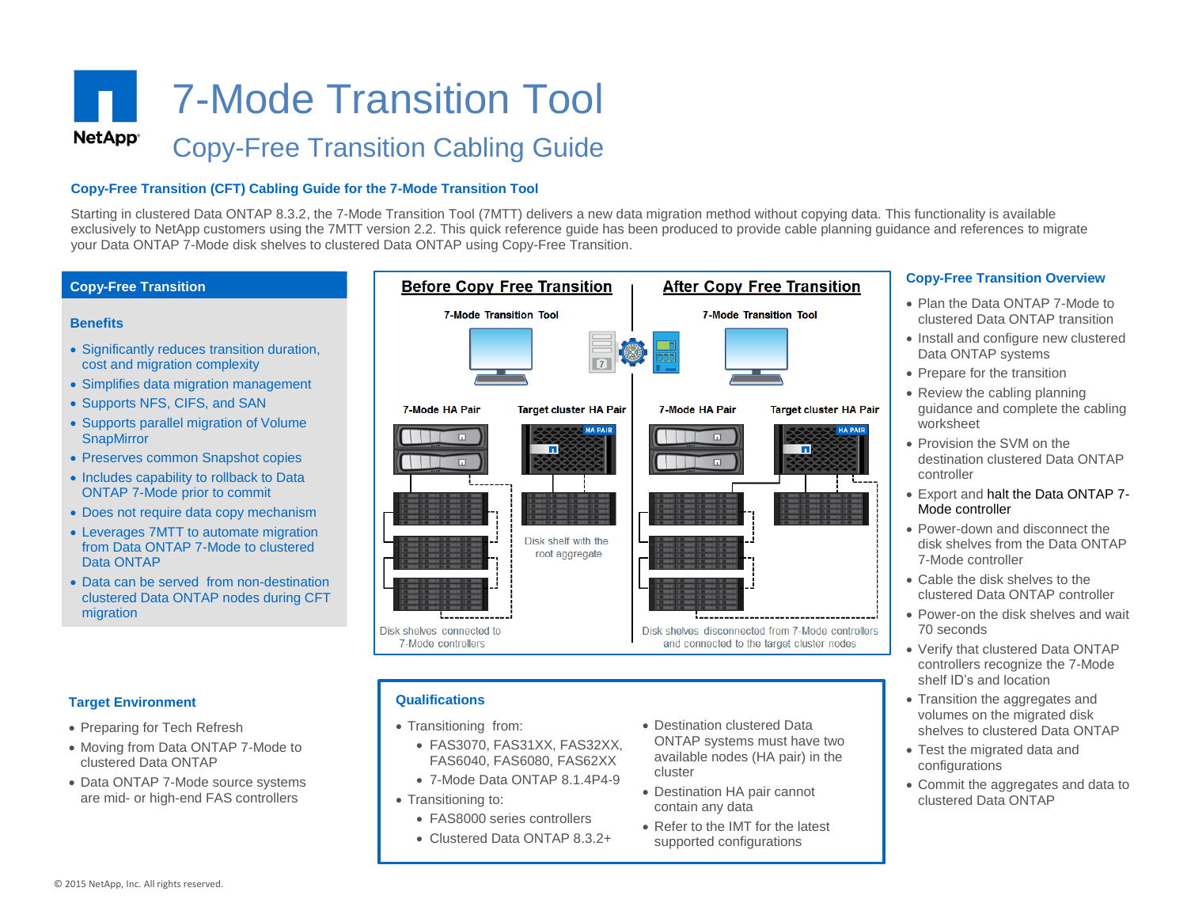# 7-Mode Transition Tool **NetApp**<sup>®</sup> Copy-Free Transition Cabling Guide

### **Copy-Free Transition (CFT) Cabling Guide for the 7-Mode Transition Tool**

exclusively to NetApp customers using the 7twTT version 2.2. This quick reference guide has t<br>your Data ONTAP 7-Mode disk shelves to clustered Data ONTAP using Copy-Free Transition. Starting in clustered Data ONTAP 8.3.2, the 7-Mode Transition Tool (7MTT) delivers a new data migration method without copying data. This functionality is available exclusively to NetApp customers using the 7MTT version 2.2. This quick reference quide has been produced to provide cable planning quidance and references to migrate



 FAS3070, FAS31XX, FAS32XX, FAS6040, FAS6080, FAS62XX 7-Mode Data ONTAP 8.1.4P4-9

• FAS8000 series controllers Clustered Data ONTAP 8.3.2+

• Transitioning to:

- Moving from Data ONTAP 7-Mode to clustered Data ONTAP
- Data ONTAP 7-Mode source systems are mid- or high-end FAS controllers
- ONTAP systems must have two available nodes (HA pair) in the cluster
- Destination HA pair cannot contain any data
- Refer to the IMT for the latest supported configurations

### **Copy-Free Transition Overview**

- Plan the Data ONTAP 7-Mode to clustered Data ONTAP transition
- Install and configure new clustered Data ONTAP systems
- Prepare for the transition
- Review the cabling planning guidance and complete the cabling worksheet
- Provision the SVM on the destination clustered Data ONTAP controller
- Export and halt the Data ONTAP 7- Mode controller
- Power-down and disconnect the disk shelves from the Data ONTAP 7-Mode controller
- Cable the disk shelves to the clustered Data ONTAP controller
- Power-on the disk shelves and wait 70 seconds
- Verify that clustered Data ONTAP controllers recognize the 7-Mode shelf ID's and location
- Transition the aggregates and volumes on the migrated disk shelves to clustered Data ONTAP
- Test the migrated data and configurations
- Commit the aggregates and data to clustered Data ONTAP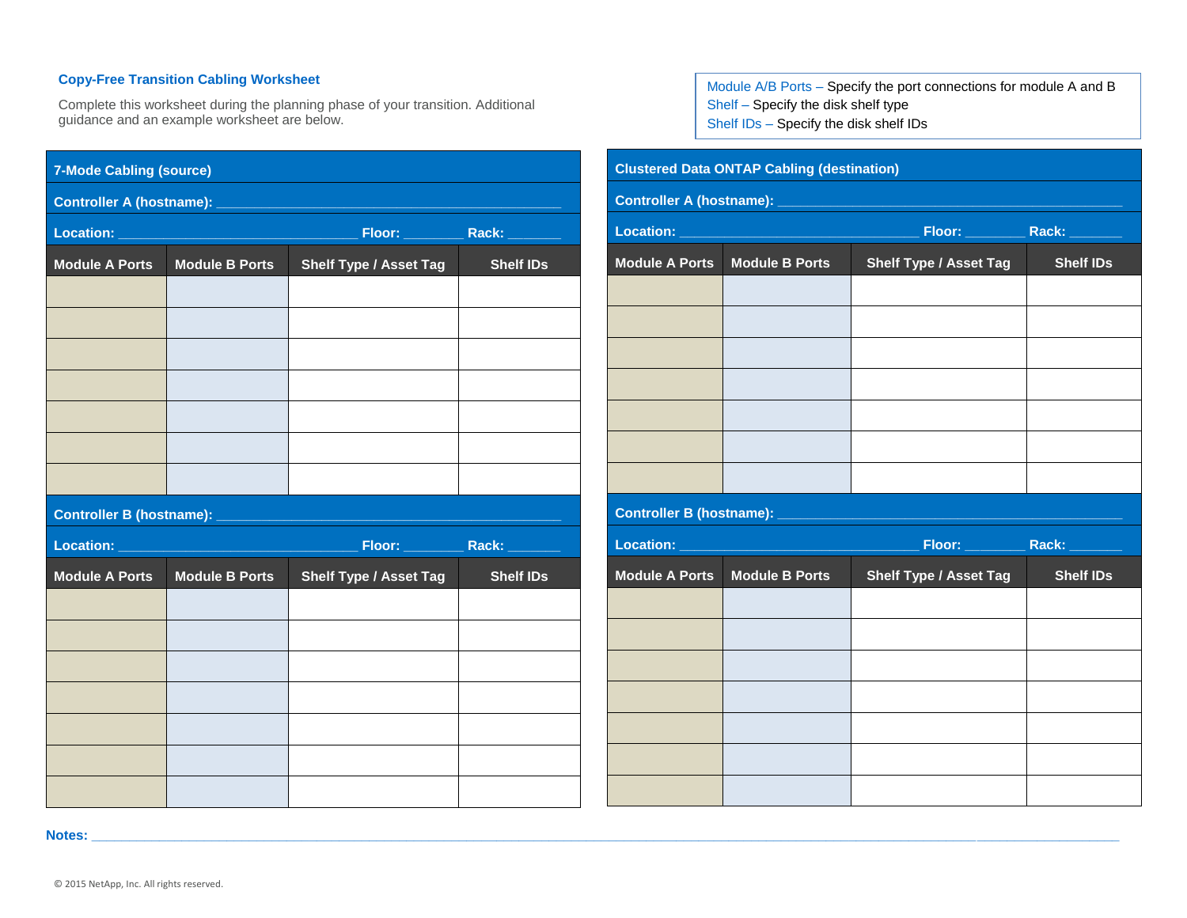## **Copy-Free Transition Cabling Worksheet**

Complete this worksheet during the planning phase of your transition. Additional guidance and an example worksheet are below.

| <b>7-Mode Cabling (source)</b>                                                         |                       |                               |                  |  |  |
|----------------------------------------------------------------------------------------|-----------------------|-------------------------------|------------------|--|--|
|                                                                                        |                       |                               |                  |  |  |
| <u>Location: ________________________________</u><br>Floor: _________<br>Rack: _______ |                       |                               |                  |  |  |
| <b>Module A Ports</b>                                                                  | <b>Module B Ports</b> | <b>Shelf Type / Asset Tag</b> | <b>Shelf IDs</b> |  |  |
|                                                                                        |                       |                               |                  |  |  |
|                                                                                        |                       |                               |                  |  |  |
|                                                                                        |                       |                               |                  |  |  |
|                                                                                        |                       |                               |                  |  |  |
|                                                                                        |                       |                               |                  |  |  |
|                                                                                        |                       |                               |                  |  |  |
|                                                                                        |                       |                               |                  |  |  |
| Controller B (hostname): _____                                                         |                       | <b>Service Service</b>        |                  |  |  |
| Location:<br>Floor: ________<br>Rack: __                                               |                       |                               |                  |  |  |
| <b>Module A Ports</b>                                                                  | <b>Module B Ports</b> | <b>Shelf Type / Asset Tag</b> | <b>Shelf IDs</b> |  |  |
|                                                                                        |                       |                               |                  |  |  |
|                                                                                        |                       |                               |                  |  |  |
|                                                                                        |                       |                               |                  |  |  |
|                                                                                        |                       |                               |                  |  |  |
|                                                                                        |                       |                               |                  |  |  |
|                                                                                        |                       |                               |                  |  |  |
|                                                                                        |                       |                               |                  |  |  |

Module A/B Ports – Specify the port connections for module A and B Shelf – Specify the disk shelf type Shelf IDs – Specify the disk shelf IDs

| <b>Clustered Data ONTAP Cabling (destination)</b> |                                       |                                      |                  |  |  |
|---------------------------------------------------|---------------------------------------|--------------------------------------|------------------|--|--|
|                                                   |                                       |                                      |                  |  |  |
|                                                   |                                       | Floor: _____________ Rack: _________ |                  |  |  |
| <b>Module A Ports</b>                             | <b>Module B Ports</b>                 | <b>Shelf Type / Asset Tag</b>        | <b>Shelf IDs</b> |  |  |
|                                                   |                                       |                                      |                  |  |  |
|                                                   |                                       |                                      |                  |  |  |
|                                                   |                                       |                                      |                  |  |  |
|                                                   |                                       |                                      |                  |  |  |
|                                                   |                                       |                                      |                  |  |  |
|                                                   |                                       |                                      |                  |  |  |
|                                                   |                                       |                                      |                  |  |  |
|                                                   |                                       |                                      |                  |  |  |
|                                                   | Location: ___________________________ | Floor: _____________ Rack: ________  |                  |  |  |
| <b>Module A Ports</b>                             | <b>Module B Ports</b>                 | <b>Shelf Type / Asset Tag</b>        | <b>Shelf IDs</b> |  |  |
|                                                   |                                       |                                      |                  |  |  |
|                                                   |                                       |                                      |                  |  |  |
|                                                   |                                       |                                      |                  |  |  |
|                                                   |                                       |                                      |                  |  |  |
|                                                   |                                       |                                      |                  |  |  |
|                                                   |                                       |                                      |                  |  |  |
|                                                   |                                       |                                      |                  |  |  |

**Notes: \_\_\_\_\_\_\_\_\_\_\_\_\_\_\_\_\_\_\_\_\_\_\_\_\_\_\_\_\_\_\_\_\_\_\_\_\_\_\_\_\_\_\_\_\_\_\_\_\_\_\_\_\_\_\_\_\_\_\_\_\_\_\_\_\_\_\_\_\_\_\_\_\_\_\_\_\_\_\_\_\_\_\_\_\_\_\_\_\_\_\_\_\_\_\_\_\_\_\_\_\_\_\_\_\_\_\_\_\_\_\_\_\_\_\_\_\_\_\_\_\_\_\_\_\_\_\_\_\_\_\_\_\_\_\_\_\_**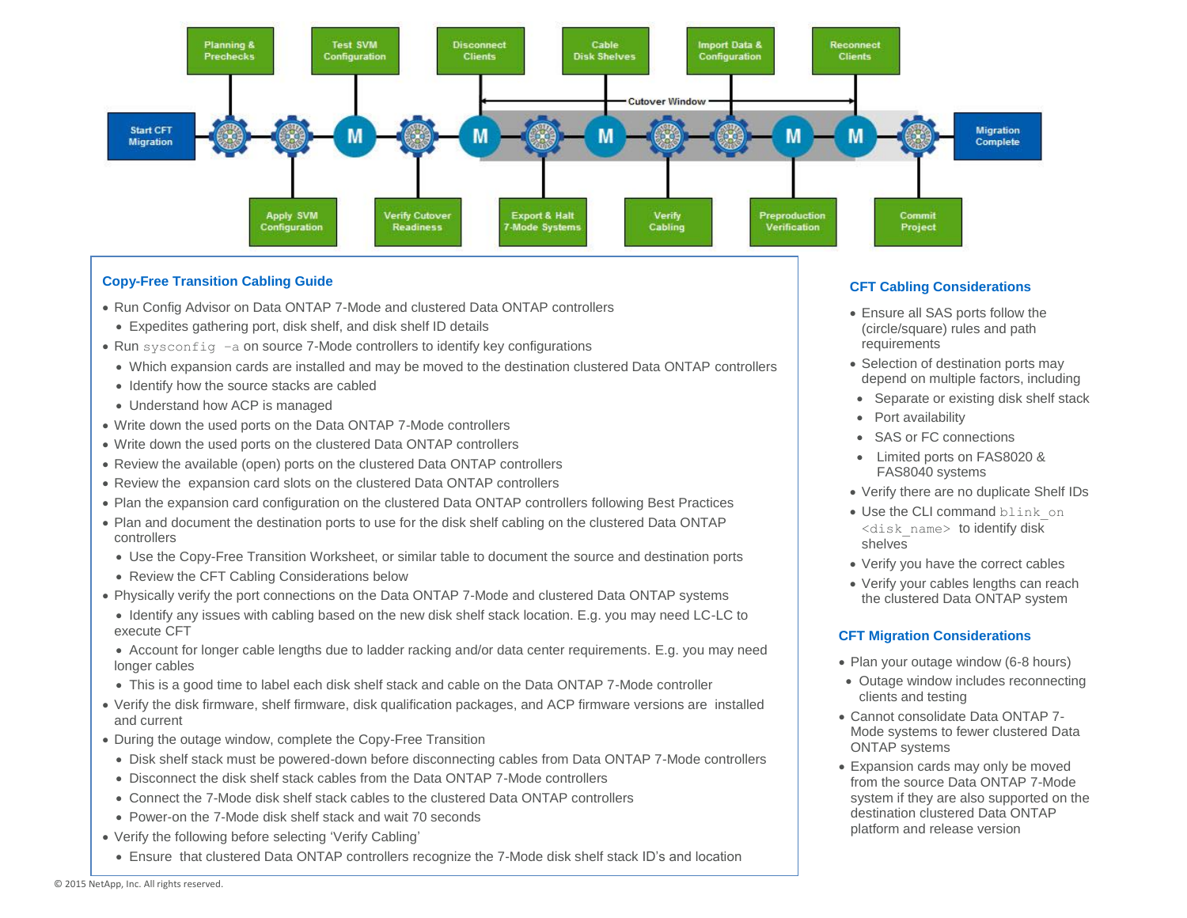

#### **Copy-Free Transition Cabling Guide**

- Run Config Advisor on Data ONTAP 7-Mode and clustered Data ONTAP controllers
- Expedites gathering port, disk shelf, and disk shelf ID details
- Run sysconfig –a on source 7-Mode controllers to identify key configurations
- Which expansion cards are installed and may be moved to the destination clustered Data ONTAP controllers
- Identify how the source stacks are cabled
- Understand how ACP is managed
- Write down the used ports on the Data ONTAP 7-Mode controllers
- Write down the used ports on the clustered Data ONTAP controllers
- Review the available (open) ports on the clustered Data ONTAP controllers
- Review the expansion card slots on the clustered Data ONTAP controllers
- Plan the expansion card configuration on the clustered Data ONTAP controllers following Best Practices
- Plan and document the destination ports to use for the disk shelf cabling on the clustered Data ONTAP controllers
- Use the Copy-Free Transition Worksheet, or similar table to document the source and destination ports
- Review the CFT Cabling Considerations below
- Physically verify the port connections on the Data ONTAP 7-Mode and clustered Data ONTAP systems
- Identify any issues with cabling based on the new disk shelf stack location. E.g. you may need LC-LC to execute CFT
- Account for longer cable lengths due to ladder racking and/or data center requirements. E.g. you may need longer cables
- This is a good time to label each disk shelf stack and cable on the Data ONTAP 7-Mode controller
- Verify the disk firmware, shelf firmware, disk qualification packages, and ACP firmware versions are installed and current
- During the outage window, complete the Copy-Free Transition
- Disk shelf stack must be powered-down before disconnecting cables from Data ONTAP 7-Mode controllers
- Disconnect the disk shelf stack cables from the Data ONTAP 7-Mode controllers
- Connect the 7-Mode disk shelf stack cables to the clustered Data ONTAP controllers
- Power-on the 7-Mode disk shelf stack and wait 70 seconds
- Verify the following before selecting 'Verify Cabling'
	- Ensure that clustered Data ONTAP controllers recognize the 7-Mode disk shelf stack ID's and location

#### **CFT Cabling Considerations**

- Ensure all SAS ports follow the (circle/square) rules and path requirements
- Selection of destination ports may depend on multiple factors, including
- Separate or existing disk shelf stack
- Port availability
- SAS or FC connections
- Limited ports on FAS8020 & FAS8040 systems
- Verify there are no duplicate Shelf IDs
- Use the CLI command blink on <disk\_name> to identify disk shelves
- Verify you have the correct cables
- Verify your cables lengths can reach the clustered Data ONTAP system

#### **CFT Migration Considerations**

- Plan your outage window (6-8 hours)
- Outage window includes reconnecting clients and testing
- Cannot consolidate Data ONTAP 7- Mode systems to fewer clustered Data ONTAP systems
- Expansion cards may only be moved from the source Data ONTAP 7-Mode system if they are also supported on the destination clustered Data ONTAP platform and release version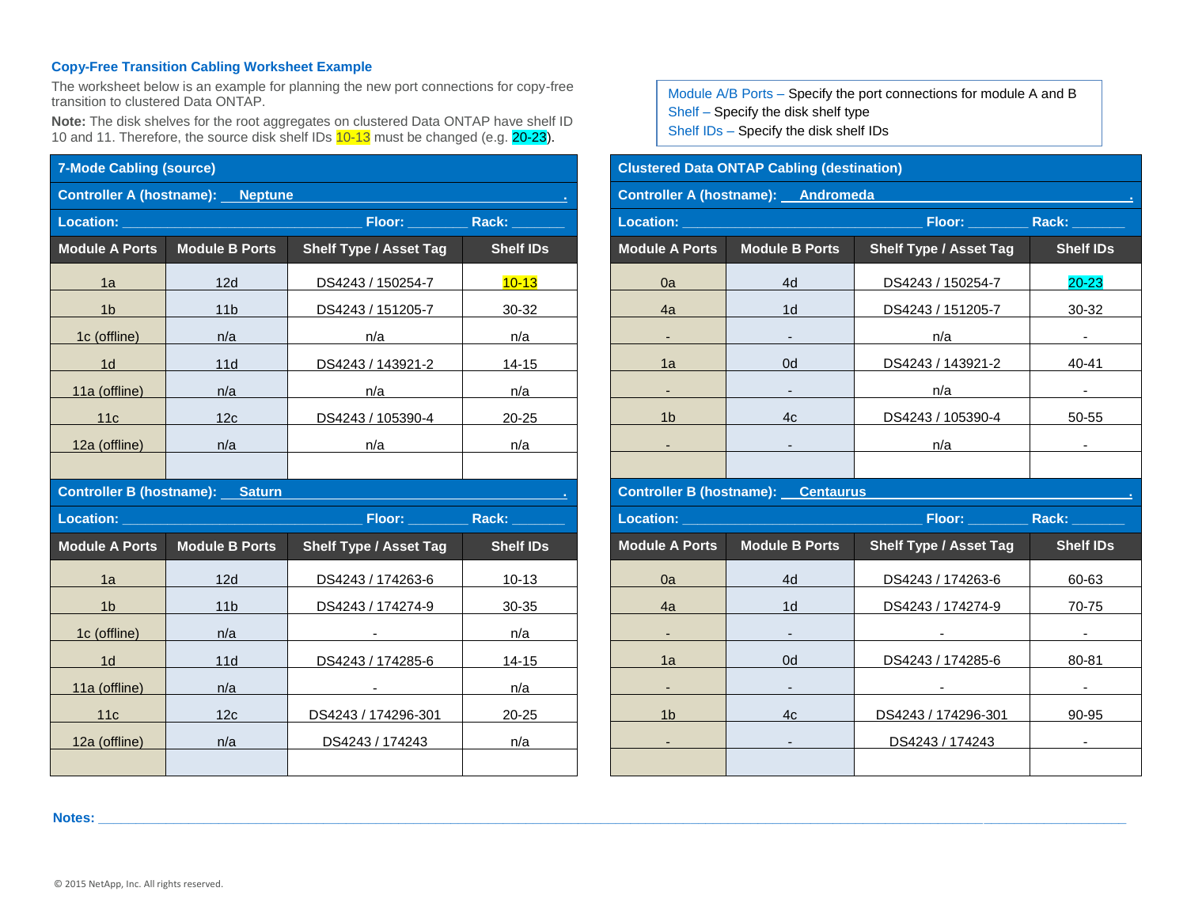#### **Copy-Free Transition Cabling Worksheet Example**

The worksheet below is an example for planning the new port connections for copy-free transition to clustered Data ONTAP.

**Note:** The disk shelves for the root aggregates on clustered Data ONTAP have shelf ID 10 and 11. Therefore, the source disk shelf IDs 10-13 must be changed (e.g. 20-23).

|                                                                                                                                                                                    | <b>7-Mode Cabling (source)</b> |                               |                  |  |  |  |
|------------------------------------------------------------------------------------------------------------------------------------------------------------------------------------|--------------------------------|-------------------------------|------------------|--|--|--|
| <b>Controller A (hostname): Neptune</b>                                                                                                                                            |                                |                               |                  |  |  |  |
| Location:<br>Floor: ____________ Rack: ________<br>$\mathcal{L}^{\text{max}}_{\text{max}}$ and $\mathcal{L}^{\text{max}}_{\text{max}}$ and $\mathcal{L}^{\text{max}}_{\text{max}}$ |                                |                               |                  |  |  |  |
| <b>Module A Ports</b>                                                                                                                                                              | <b>Module B Ports</b>          | <b>Shelf Type / Asset Tag</b> | <b>Shelf IDs</b> |  |  |  |
| 1a                                                                                                                                                                                 | 12d                            | DS4243 / 150254-7             | $10 - 13$        |  |  |  |
| 1 <sub>b</sub>                                                                                                                                                                     | 11 <sub>b</sub>                | DS4243 / 151205-7             | $30 - 32$        |  |  |  |
| 1c (offline)                                                                                                                                                                       | n/a                            | n/a                           | n/a              |  |  |  |
| 1d                                                                                                                                                                                 | 11d                            | DS4243 / 143921-2             | 14-15            |  |  |  |
| 11a (offline)                                                                                                                                                                      | n/a                            | n/a                           | n/a              |  |  |  |
| 11c                                                                                                                                                                                | 12c                            | DS4243 / 105390-4             | $20 - 25$        |  |  |  |
| 12a (offline)                                                                                                                                                                      | n/a                            | n/a                           | n/a              |  |  |  |
|                                                                                                                                                                                    |                                |                               |                  |  |  |  |
| <b>Controller B (hostname): Saturn</b>                                                                                                                                             |                                |                               |                  |  |  |  |
|                                                                                                                                                                                    |                                |                               |                  |  |  |  |
| <b>Location:</b>                                                                                                                                                                   |                                |                               | Floor: Rack:     |  |  |  |
| <b>Module A Ports</b>                                                                                                                                                              | <b>Module B Ports</b>          | <b>Shelf Type / Asset Tag</b> | <b>Shelf IDs</b> |  |  |  |
| 1a                                                                                                                                                                                 | 12d                            | DS4243 / 174263-6             | $10 - 13$        |  |  |  |
| 1 <sub>b</sub>                                                                                                                                                                     | 11 <sub>b</sub>                | DS4243 / 174274-9             | $30 - 35$        |  |  |  |
| 1c (offline)                                                                                                                                                                       | n/a                            |                               | n/a              |  |  |  |
| 1d                                                                                                                                                                                 | 11d                            | DS4243 / 174285-6             | 14-15            |  |  |  |
| 11a (offline)                                                                                                                                                                      | n/a                            |                               | n/a              |  |  |  |
| 11c                                                                                                                                                                                | 12c                            | DS4243 / 174296-301           | $20 - 25$        |  |  |  |
| 12a (offline)                                                                                                                                                                      | n/a                            | DS4243 / 174243               | n/a              |  |  |  |

Module A/B Ports – Specify the port connections for module A and B Shelf – Specify the disk shelf type Shelf IDs – Specify the disk shelf IDs

# **Clustered Data ONTAP Cabling (destination) Controller A (hostname): Andromeda Location: \_\_\_\_\_\_\_\_\_\_\_\_\_\_\_\_\_\_\_\_\_\_\_\_\_\_\_\_\_\_\_\_ Floor: \_\_\_\_\_\_\_\_ Rack: \_\_\_\_\_\_\_ Module A Ports Module B Ports Shelf Type / Asset Tag Shelf IDs** 0a | 4d | DS4243 / 150254-7 | 20-23 4a 1d DS4243 / 151205-7 30-32 - - n/a - 1a 0d DS4243 / 143921-2 40-41 - - n/a - 1b 4c DS4243 / 105390-4 50-55 - - n/a - **Controller B (hostname): Centaurus Location: \_\_\_\_\_\_\_\_\_\_\_\_\_\_\_\_\_\_\_\_\_\_\_\_\_\_\_\_\_\_\_\_ Floor: \_\_\_\_\_\_\_\_ Rack: \_\_\_\_\_\_\_ Module A Ports Module B Ports Shelf Type / Asset Tag Shelf IDs** 0a 4d DS4243 / 174263-6 60-63 4a 1d DS4243 / 174274-9 70-75 - - - - 1a 0d DS4243 / 174285-6 80-81 - - - - 1b 4c DS4243 / 174296-301 90-95 - DS4243 / 174243 - DS4243 - DS4243 - DS4243 - DS4243 - DS4243 - DS4243 - DS4243 - DS4243 - DS4243 - DS4243 - D

**Notes: \_\_\_\_\_\_\_\_\_\_\_\_\_\_\_\_\_\_\_\_\_\_\_\_\_\_\_\_\_\_\_\_\_\_\_\_\_\_\_\_\_\_\_\_\_\_\_\_\_\_\_\_\_\_\_\_\_\_\_\_\_\_\_\_\_\_\_\_\_\_\_\_\_\_\_\_\_\_\_\_\_\_\_\_\_\_\_\_\_\_\_\_\_\_\_\_\_\_\_\_\_\_\_\_\_\_\_\_\_\_\_\_\_\_\_\_\_\_\_\_\_\_\_\_\_\_\_\_\_\_\_\_\_\_\_\_\_**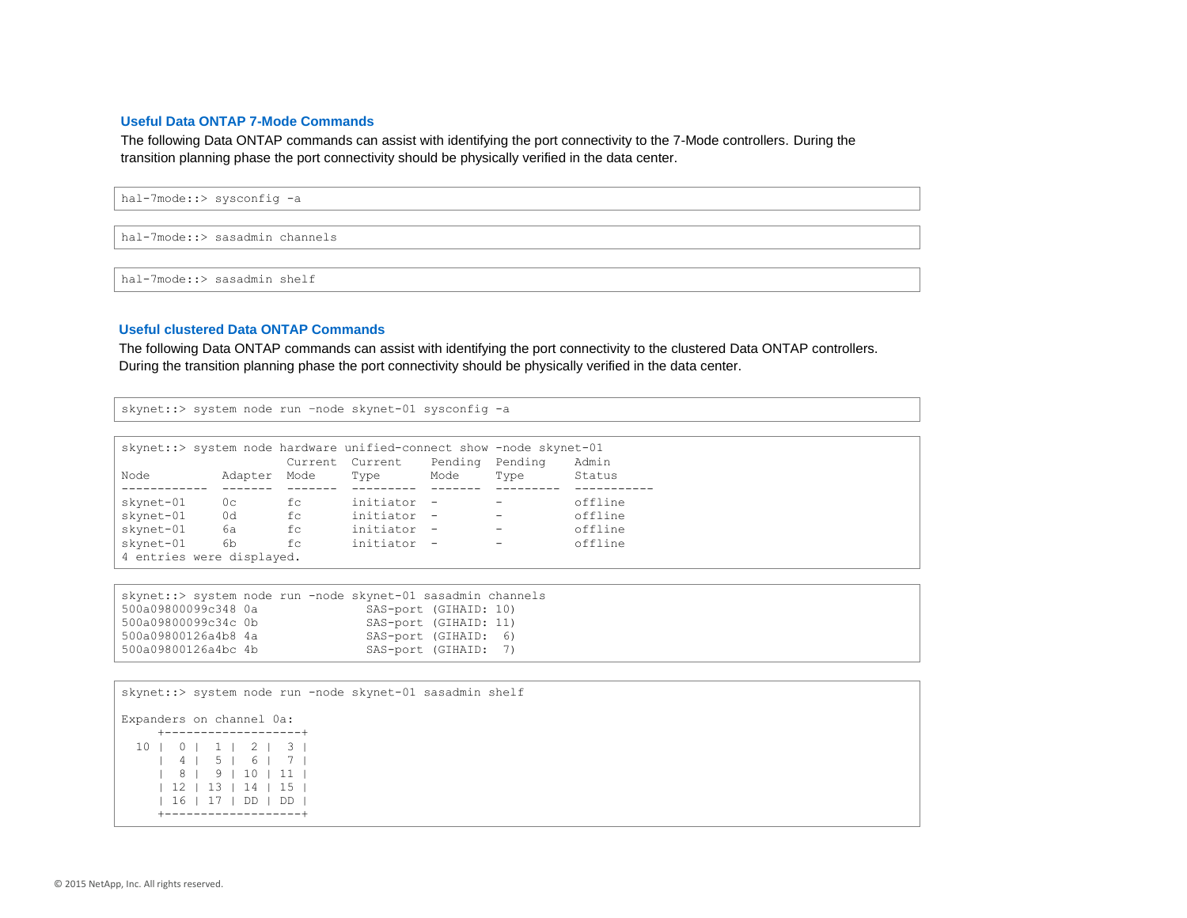#### **Useful Data ONTAP 7-Mode Commands**

The following Data ONTAP commands can assist with identifying the port connectivity to the 7-Mode controllers. During the transition planning phase the port connectivity should be physically verified in the data center.

hal-7mode::> sysconfig -a

hal-7mode::> sasadmin channels

hal-7mode::> sasadmin shelf

#### **Useful clustered Data ONTAP Commands**

The following Data ONTAP commands can assist with identifying the port connectivity to the clustered Data ONTAP controllers. During the transition planning phase the port connectivity should be physically verified in the data center.

skynet::> system node run -node skynet-01 sysconfig -a

|                           |                |    | skynet:: > system node hardware unified-connect show -node skynet-01 |      |                          |         |
|---------------------------|----------------|----|----------------------------------------------------------------------|------|--------------------------|---------|
|                           |                |    | Current Current Pending Pending                                      |      |                          | Admin   |
| Node                      | Adapter Mode   |    | Type                                                                 | Mode | Type                     | Status  |
|                           |                |    |                                                                      |      |                          |         |
| skynet-01                 | 0 <sup>c</sup> | fc | initiator -                                                          |      | $\overline{\phantom{a}}$ | offline |
| skynet-01                 | 0d             | fc | initiator -                                                          |      | $\overline{\phantom{m}}$ | offline |
| skynet-01                 | 6а             | fc | initiator -                                                          |      | $\overline{\phantom{a}}$ | offline |
| skynet-01 6b              |                | fc | initiator -                                                          |      | $\overline{\phantom{0}}$ | offline |
| 4 entries were displayed. |                |    |                                                                      |      |                          |         |

|                     | skynet::> system node run -node skynet-01 sasadmin channels |  |
|---------------------|-------------------------------------------------------------|--|
| 500a09800099c348 0a | SAS-port (GIHAID: 10)                                       |  |
| 500a09800099c34c 0b | SAS-port (GIHAID: 11)                                       |  |
| 500a09800126a4b8 4a | SAS-port (GIHAID: 6)                                        |  |
| 500a09800126a4bc 4b | SAS-port (GIHAID: 7)                                        |  |

| skynet::> system node run -node skynet-01 sasadmin shelf |
|----------------------------------------------------------|
| Expanders on channel 0a:                                 |
| +-------------------                                     |
| 10   0   1   2   3                                       |
| 4   5   6   7                                            |
| 8   9   10   11                                          |
| $12$   13   14   15                                      |
| 16   17   DD   DD                                        |
|                                                          |
|                                                          |